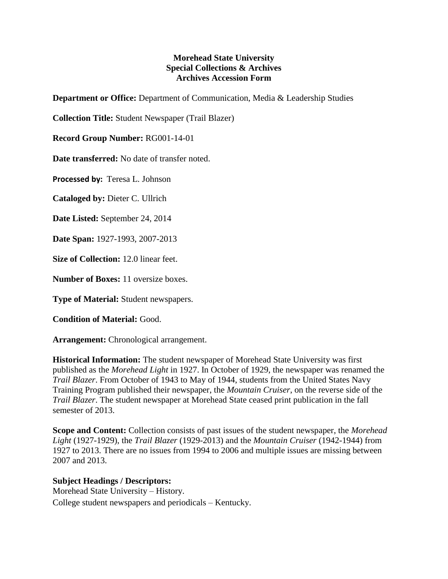## **Morehead State University Special Collections & Archives Archives Accession Form**

**Department or Office:** Department of Communication, Media & Leadership Studies

**Collection Title:** Student Newspaper (Trail Blazer)

**Record Group Number:** RG001-14-01

**Date transferred:** No date of transfer noted.

**Processed by:** Teresa L. Johnson

**Cataloged by:** Dieter C. Ullrich

**Date Listed:** September 24, 2014

**Date Span:** 1927-1993, 2007-2013

**Size of Collection:** 12.0 linear feet.

**Number of Boxes:** 11 oversize boxes.

**Type of Material:** Student newspapers.

**Condition of Material:** Good.

**Arrangement:** Chronological arrangement.

**Historical Information:** The student newspaper of Morehead State University was first published as the *Morehead Light* in 1927. In October of 1929, the newspaper was renamed the *Trail Blazer*. From October of 1943 to May of 1944, students from the United States Navy Training Program published their newspaper, the *Mountain Cruiser*, on the reverse side of the *Trail Blazer*. The student newspaper at Morehead State ceased print publication in the fall semester of 2013.

**Scope and Content:** Collection consists of past issues of the student newspaper, the *Morehead Light* (1927-1929), the *Trail Blazer* (1929-2013) and the *Mountain Cruiser* (1942-1944) from 1927 to 2013. There are no issues from 1994 to 2006 and multiple issues are missing between 2007 and 2013.

## **Subject Headings / Descriptors:**

Morehead State University – History. College student newspapers and periodicals – Kentucky.